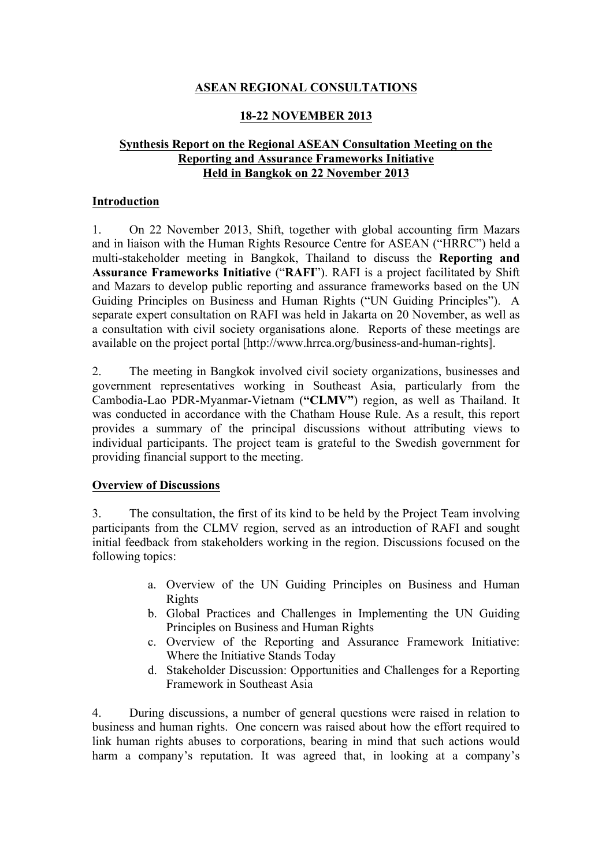# **ASEAN REGIONAL CONSULTATIONS**

## **18-22 NOVEMBER 2013**

## **Synthesis Report on the Regional ASEAN Consultation Meeting on the Reporting and Assurance Frameworks Initiative Held in Bangkok on 22 November 2013**

#### **Introduction**

1. On 22 November 2013, Shift, together with global accounting firm Mazars and in liaison with the Human Rights Resource Centre for ASEAN ("HRRC") held a multi-stakeholder meeting in Bangkok, Thailand to discuss the **Reporting and Assurance Frameworks Initiative** ("**RAFI**"). RAFI is a project facilitated by Shift and Mazars to develop public reporting and assurance frameworks based on the UN Guiding Principles on Business and Human Rights ("UN Guiding Principles"). A separate expert consultation on RAFI was held in Jakarta on 20 November, as well as a consultation with civil society organisations alone. Reports of these meetings are available on the project portal [http://www.hrrca.org/business-and-human-rights].

2. The meeting in Bangkok involved civil society organizations, businesses and government representatives working in Southeast Asia, particularly from the Cambodia-Lao PDR-Myanmar-Vietnam (**"CLMV"**) region, as well as Thailand. It was conducted in accordance with the Chatham House Rule. As a result, this report provides a summary of the principal discussions without attributing views to individual participants. The project team is grateful to the Swedish government for providing financial support to the meeting.

## **Overview of Discussions**

3. The consultation, the first of its kind to be held by the Project Team involving participants from the CLMV region, served as an introduction of RAFI and sought initial feedback from stakeholders working in the region. Discussions focused on the following topics:

- a. Overview of the UN Guiding Principles on Business and Human Rights
- b. Global Practices and Challenges in Implementing the UN Guiding Principles on Business and Human Rights
- c. Overview of the Reporting and Assurance Framework Initiative: Where the Initiative Stands Today
- d. Stakeholder Discussion: Opportunities and Challenges for a Reporting Framework in Southeast Asia

4. During discussions, a number of general questions were raised in relation to business and human rights. One concern was raised about how the effort required to link human rights abuses to corporations, bearing in mind that such actions would harm a company's reputation. It was agreed that, in looking at a company's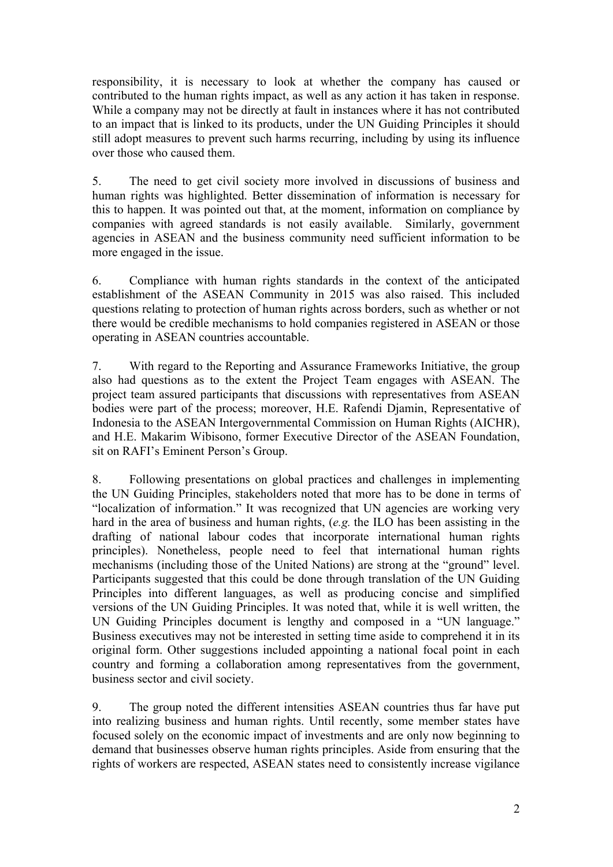responsibility, it is necessary to look at whether the company has caused or contributed to the human rights impact, as well as any action it has taken in response. While a company may not be directly at fault in instances where it has not contributed to an impact that is linked to its products, under the UN Guiding Principles it should still adopt measures to prevent such harms recurring, including by using its influence over those who caused them.

5. The need to get civil society more involved in discussions of business and human rights was highlighted. Better dissemination of information is necessary for this to happen. It was pointed out that, at the moment, information on compliance by companies with agreed standards is not easily available. Similarly, government agencies in ASEAN and the business community need sufficient information to be more engaged in the issue.

6. Compliance with human rights standards in the context of the anticipated establishment of the ASEAN Community in 2015 was also raised. This included questions relating to protection of human rights across borders, such as whether or not there would be credible mechanisms to hold companies registered in ASEAN or those operating in ASEAN countries accountable.

7. With regard to the Reporting and Assurance Frameworks Initiative, the group also had questions as to the extent the Project Team engages with ASEAN. The project team assured participants that discussions with representatives from ASEAN bodies were part of the process; moreover, H.E. Rafendi Djamin, Representative of Indonesia to the ASEAN Intergovernmental Commission on Human Rights (AICHR), and H.E. Makarim Wibisono, former Executive Director of the ASEAN Foundation, sit on RAFI's Eminent Person's Group.

8. Following presentations on global practices and challenges in implementing the UN Guiding Principles, stakeholders noted that more has to be done in terms of "localization of information." It was recognized that UN agencies are working very hard in the area of business and human rights, (*e.g.* the ILO has been assisting in the drafting of national labour codes that incorporate international human rights principles). Nonetheless, people need to feel that international human rights mechanisms (including those of the United Nations) are strong at the "ground" level. Participants suggested that this could be done through translation of the UN Guiding Principles into different languages, as well as producing concise and simplified versions of the UN Guiding Principles. It was noted that, while it is well written, the UN Guiding Principles document is lengthy and composed in a "UN language." Business executives may not be interested in setting time aside to comprehend it in its original form. Other suggestions included appointing a national focal point in each country and forming a collaboration among representatives from the government, business sector and civil society.

9. The group noted the different intensities ASEAN countries thus far have put into realizing business and human rights. Until recently, some member states have focused solely on the economic impact of investments and are only now beginning to demand that businesses observe human rights principles. Aside from ensuring that the rights of workers are respected, ASEAN states need to consistently increase vigilance